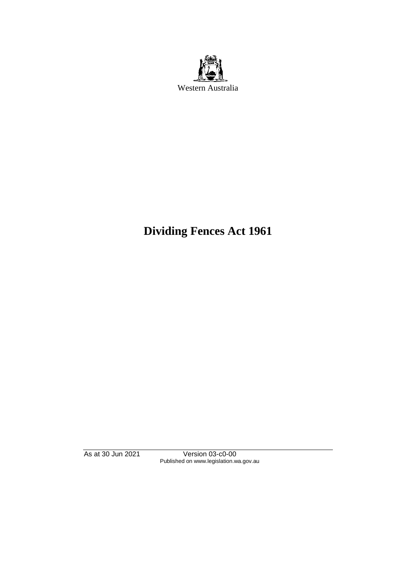

# **Dividing Fences Act 1961**

As at 30 Jun 2021 Version 03-c0-00 Published on www.legislation.wa.gov.au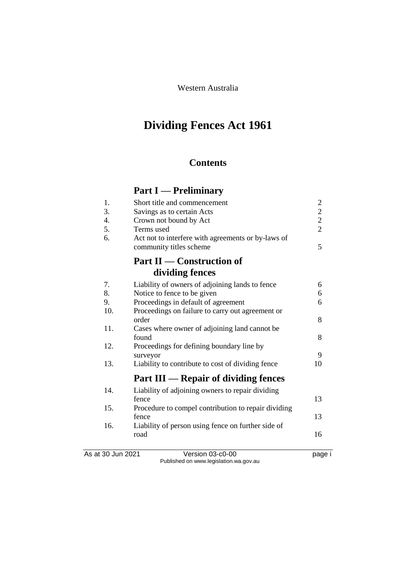Western Australia

# **Dividing Fences Act 1961**

## **Contents**

# **Part I — Preliminary**

| 1.                | Short title and commencement                        | $\overline{\mathbf{c}}$                    |
|-------------------|-----------------------------------------------------|--------------------------------------------|
| 3.                | Savings as to certain Acts                          | $\begin{array}{c} 2 \\ 2 \\ 2 \end{array}$ |
| 4.                | Crown not bound by Act                              |                                            |
| 5.                | Terms used                                          |                                            |
| 6.                | Act not to interfere with agreements or by-laws of  |                                            |
|                   | community titles scheme                             | 5                                          |
|                   | <b>Part II - Construction of</b>                    |                                            |
|                   | dividing fences                                     |                                            |
| 7.                | Liability of owners of adjoining lands to fence     | 6                                          |
| 8.                | Notice to fence to be given                         | 6                                          |
| 9.                | Proceedings in default of agreement                 | 6                                          |
| 10.               | Proceedings on failure to carry out agreement or    |                                            |
|                   | order                                               | 8                                          |
| 11.               | Cases where owner of adjoining land cannot be       |                                            |
|                   | found                                               | 8                                          |
| 12.               | Proceedings for defining boundary line by           |                                            |
|                   | surveyor                                            | 9                                          |
| 13.               | Liability to contribute to cost of dividing fence   | 10                                         |
|                   | Part III — Repair of dividing fences                |                                            |
| 14.               | Liability of adjoining owners to repair dividing    |                                            |
|                   | fence                                               | 13                                         |
| 15.               | Procedure to compel contribution to repair dividing |                                            |
|                   | fence                                               | 13                                         |
| 16.               | Liability of person using fence on further side of  |                                            |
|                   | road                                                | 16                                         |
|                   |                                                     |                                            |
| As at 30 Jun 2021 | Version 03-c0-00                                    | page i                                     |

Published on www.legislation.wa.gov.au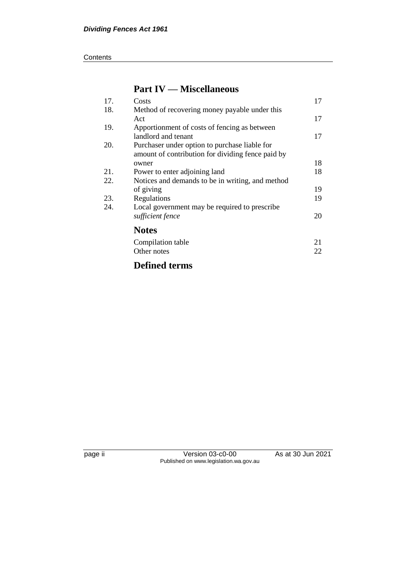#### **Contents**

# **Part IV — Miscellaneous**

| 17. | Costs                                             | 17 |
|-----|---------------------------------------------------|----|
| 18. | Method of recovering money payable under this     |    |
|     | Act                                               | 17 |
| 19. | Apportionment of costs of fencing as between      |    |
|     | landlord and tenant                               | 17 |
| 20. | Purchaser under option to purchase liable for     |    |
|     | amount of contribution for dividing fence paid by |    |
|     | owner                                             | 18 |
| 21. | Power to enter adjoining land                     | 18 |
| 22. | Notices and demands to be in writing, and method  |    |
|     | of giving                                         | 19 |
| 23. | Regulations                                       | 19 |
| 24. | Local government may be required to prescribe     |    |
|     | sufficient fence                                  | 20 |
|     | <b>Notes</b>                                      |    |
|     | Compilation table                                 | 21 |
|     | Other notes                                       | 22 |
|     |                                                   |    |

# **Defined terms**

page ii Version 03-c0-00 As at 30 Jun 2021 Published on www.legislation.wa.gov.au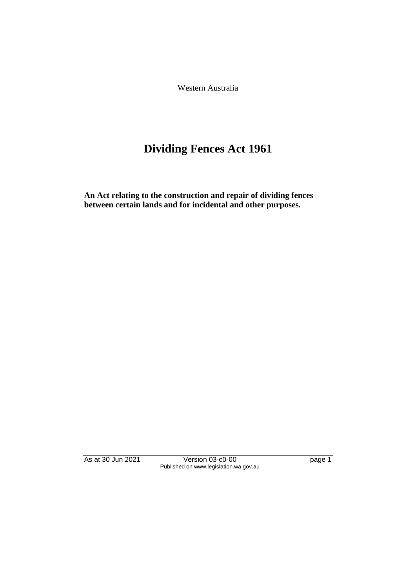Western Australia

# **Dividing Fences Act 1961**

**An Act relating to the construction and repair of dividing fences between certain lands and for incidental and other purposes.** 

As at 30 Jun 2021 Version 03-c0-00 page 1 Published on www.legislation.wa.gov.au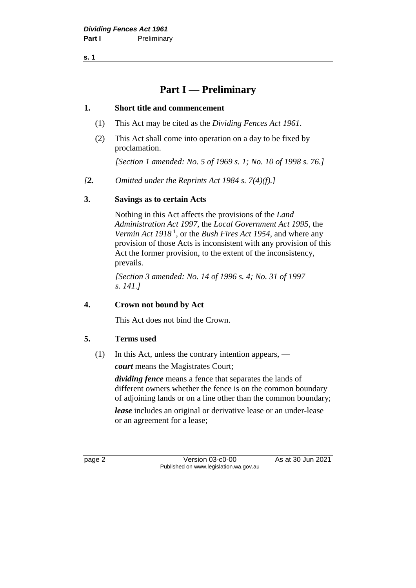**s. 1**

# **Part I — Preliminary**

#### **1. Short title and commencement**

- (1) This Act may be cited as the *Dividing Fences Act 1961*.
- (2) This Act shall come into operation on a day to be fixed by proclamation.

*[Section 1 amended: No. 5 of 1969 s. 1; No. 10 of 1998 s. 76.]*

*[2. Omitted under the Reprints Act 1984 s. 7(4)(f).]*

### **3. Savings as to certain Acts**

Nothing in this Act affects the provisions of the *Land Administration Act 1997*, the *Local Government Act 1995*, the *Vermin Act 1918* <sup>1</sup> , or the *Bush Fires Act 1954*, and where any provision of those Acts is inconsistent with any provision of this Act the former provision, to the extent of the inconsistency, prevails.

*[Section 3 amended: No. 14 of 1996 s. 4; No. 31 of 1997 s. 141.]* 

### **4. Crown not bound by Act**

This Act does not bind the Crown.

### **5. Terms used**

(1) In this Act, unless the contrary intention appears, —

*court* means the Magistrates Court;

*dividing fence* means a fence that separates the lands of different owners whether the fence is on the common boundary of adjoining lands or on a line other than the common boundary;

*lease* includes an original or derivative lease or an under-lease or an agreement for a lease;

page 2 Version 03-c0-00 As at 30 Jun 2021 Published on www.legislation.wa.gov.au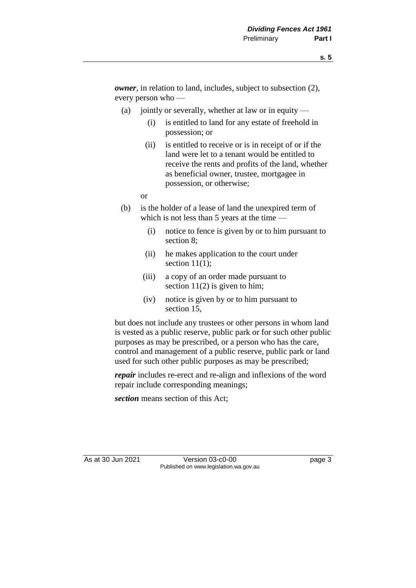*owner*, in relation to land, includes, subject to subsection (2), every person who —

- (a) jointly or severally, whether at law or in equity
	- (i) is entitled to land for any estate of freehold in possession; or
	- (ii) is entitled to receive or is in receipt of or if the land were let to a tenant would be entitled to receive the rents and profits of the land, whether as beneficial owner, trustee, mortgagee in possession, or otherwise;

or

- (b) is the holder of a lease of land the unexpired term of which is not less than 5 years at the time —
	- (i) notice to fence is given by or to him pursuant to section 8;
	- (ii) he makes application to the court under section  $11(1)$ ;
	- (iii) a copy of an order made pursuant to section  $11(2)$  is given to him;
	- (iv) notice is given by or to him pursuant to section 15,

but does not include any trustees or other persons in whom land is vested as a public reserve, public park or for such other public purposes as may be prescribed, or a person who has the care, control and management of a public reserve, public park or land used for such other public purposes as may be prescribed;

*repair* includes re-erect and re-align and inflexions of the word repair include corresponding meanings;

*section* means section of this Act;

As at 30 Jun 2021 Version 03-c0-00 Page 3 Published on www.legislation.wa.gov.au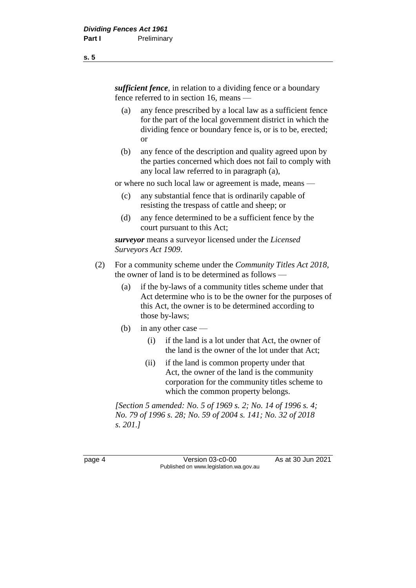*sufficient fence*, in relation to a dividing fence or a boundary fence referred to in section 16, means —

- (a) any fence prescribed by a local law as a sufficient fence for the part of the local government district in which the dividing fence or boundary fence is, or is to be, erected; or
- (b) any fence of the description and quality agreed upon by the parties concerned which does not fail to comply with any local law referred to in paragraph (a),

or where no such local law or agreement is made, means —

- (c) any substantial fence that is ordinarily capable of resisting the trespass of cattle and sheep; or
- (d) any fence determined to be a sufficient fence by the court pursuant to this Act;

*surveyor* means a surveyor licensed under the *Licensed Surveyors Act 1909*.

- (2) For a community scheme under the *Community Titles Act 2018*, the owner of land is to be determined as follows —
	- (a) if the by-laws of a community titles scheme under that Act determine who is to be the owner for the purposes of this Act, the owner is to be determined according to those by-laws;
	- (b) in any other case
		- (i) if the land is a lot under that Act, the owner of the land is the owner of the lot under that Act;
		- (ii) if the land is common property under that Act, the owner of the land is the community corporation for the community titles scheme to which the common property belongs.

*[Section 5 amended: No. 5 of 1969 s. 2; No. 14 of 1996 s. 4; No. 79 of 1996 s. 28; No. 59 of 2004 s. 141; No. 32 of 2018 s. 201.]* 

page 4 Version 03-c0-00 As at 30 Jun 2021 Published on www.legislation.wa.gov.au

**s. 5**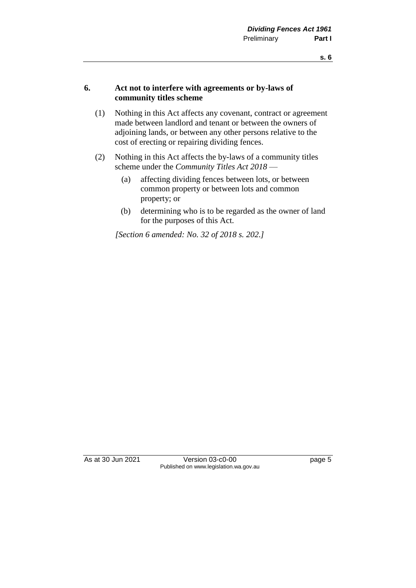#### **6. Act not to interfere with agreements or by-laws of community titles scheme**

- (1) Nothing in this Act affects any covenant, contract or agreement made between landlord and tenant or between the owners of adjoining lands, or between any other persons relative to the cost of erecting or repairing dividing fences.
- (2) Nothing in this Act affects the by-laws of a community titles scheme under the *Community Titles Act 2018* —
	- (a) affecting dividing fences between lots, or between common property or between lots and common property; or
	- (b) determining who is to be regarded as the owner of land for the purposes of this Act.

*[Section 6 amended: No. 32 of 2018 s. 202.]* 

As at 30 Jun 2021 Version 03-c0-00 Page 5 Published on www.legislation.wa.gov.au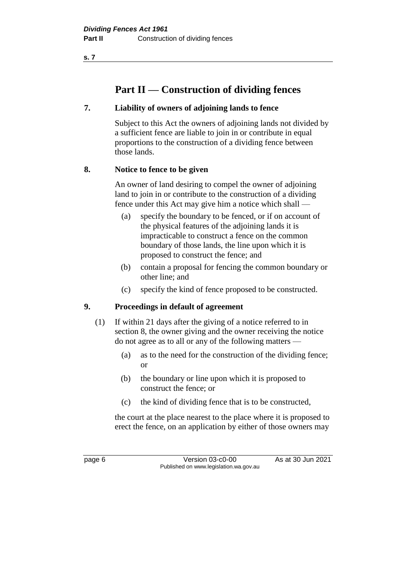**s. 7**

# **Part II — Construction of dividing fences**

### **7. Liability of owners of adjoining lands to fence**

Subject to this Act the owners of adjoining lands not divided by a sufficient fence are liable to join in or contribute in equal proportions to the construction of a dividing fence between those lands.

### **8. Notice to fence to be given**

An owner of land desiring to compel the owner of adjoining land to join in or contribute to the construction of a dividing fence under this Act may give him a notice which shall —

- (a) specify the boundary to be fenced, or if on account of the physical features of the adjoining lands it is impracticable to construct a fence on the common boundary of those lands, the line upon which it is proposed to construct the fence; and
- (b) contain a proposal for fencing the common boundary or other line; and
- (c) specify the kind of fence proposed to be constructed.

### **9. Proceedings in default of agreement**

- (1) If within 21 days after the giving of a notice referred to in section 8, the owner giving and the owner receiving the notice do not agree as to all or any of the following matters —
	- (a) as to the need for the construction of the dividing fence; or
	- (b) the boundary or line upon which it is proposed to construct the fence; or
	- (c) the kind of dividing fence that is to be constructed,

the court at the place nearest to the place where it is proposed to erect the fence, on an application by either of those owners may

page 6 Version 03-c0-00 As at 30 Jun 2021 Published on www.legislation.wa.gov.au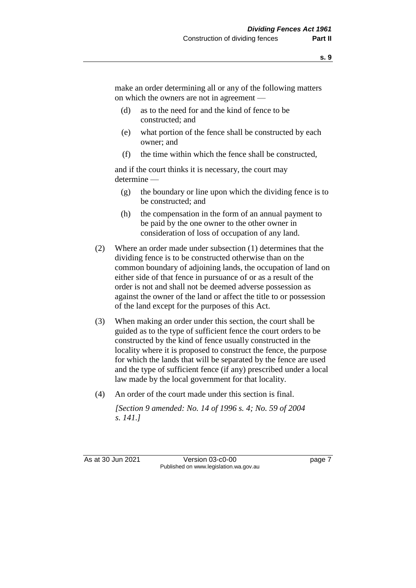make an order determining all or any of the following matters on which the owners are not in agreement —

- (d) as to the need for and the kind of fence to be constructed; and
- (e) what portion of the fence shall be constructed by each owner; and
- (f) the time within which the fence shall be constructed,

and if the court thinks it is necessary, the court may determine —

- (g) the boundary or line upon which the dividing fence is to be constructed; and
- (h) the compensation in the form of an annual payment to be paid by the one owner to the other owner in consideration of loss of occupation of any land.
- (2) Where an order made under subsection (1) determines that the dividing fence is to be constructed otherwise than on the common boundary of adjoining lands, the occupation of land on either side of that fence in pursuance of or as a result of the order is not and shall not be deemed adverse possession as against the owner of the land or affect the title to or possession of the land except for the purposes of this Act.
- (3) When making an order under this section, the court shall be guided as to the type of sufficient fence the court orders to be constructed by the kind of fence usually constructed in the locality where it is proposed to construct the fence, the purpose for which the lands that will be separated by the fence are used and the type of sufficient fence (if any) prescribed under a local law made by the local government for that locality.
- (4) An order of the court made under this section is final.

*[Section 9 amended: No. 14 of 1996 s. 4; No. 59 of 2004 s. 141.]* 

As at 30 Jun 2021 Version 03-c0-00 Page 7 Published on www.legislation.wa.gov.au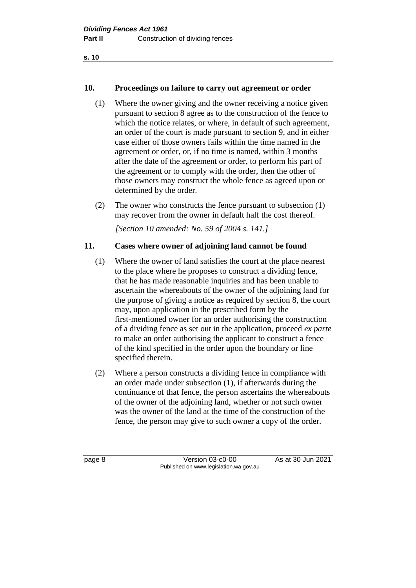**s. 10**

### **10. Proceedings on failure to carry out agreement or order**

- (1) Where the owner giving and the owner receiving a notice given pursuant to section 8 agree as to the construction of the fence to which the notice relates, or where, in default of such agreement, an order of the court is made pursuant to section 9, and in either case either of those owners fails within the time named in the agreement or order, or, if no time is named, within 3 months after the date of the agreement or order, to perform his part of the agreement or to comply with the order, then the other of those owners may construct the whole fence as agreed upon or determined by the order.
- (2) The owner who constructs the fence pursuant to subsection (1) may recover from the owner in default half the cost thereof.

*[Section 10 amended: No. 59 of 2004 s. 141.]* 

#### **11. Cases where owner of adjoining land cannot be found**

- (1) Where the owner of land satisfies the court at the place nearest to the place where he proposes to construct a dividing fence, that he has made reasonable inquiries and has been unable to ascertain the whereabouts of the owner of the adjoining land for the purpose of giving a notice as required by section 8, the court may, upon application in the prescribed form by the first-mentioned owner for an order authorising the construction of a dividing fence as set out in the application, proceed *ex parte* to make an order authorising the applicant to construct a fence of the kind specified in the order upon the boundary or line specified therein.
- (2) Where a person constructs a dividing fence in compliance with an order made under subsection (1), if afterwards during the continuance of that fence, the person ascertains the whereabouts of the owner of the adjoining land, whether or not such owner was the owner of the land at the time of the construction of the fence, the person may give to such owner a copy of the order.

page 8 Version 03-c0-00 As at 30 Jun 2021 Published on www.legislation.wa.gov.au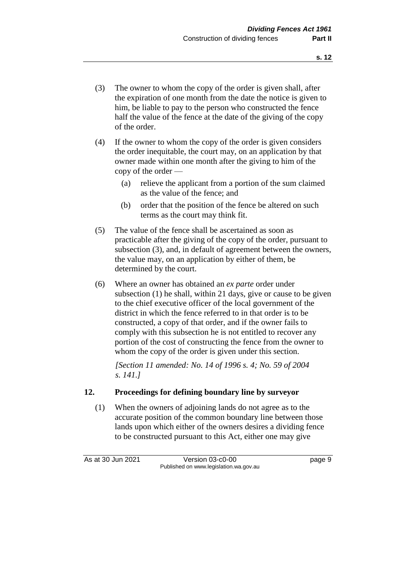- (3) The owner to whom the copy of the order is given shall, after the expiration of one month from the date the notice is given to him, be liable to pay to the person who constructed the fence half the value of the fence at the date of the giving of the copy of the order.
- (4) If the owner to whom the copy of the order is given considers the order inequitable, the court may, on an application by that owner made within one month after the giving to him of the copy of the order —
	- (a) relieve the applicant from a portion of the sum claimed as the value of the fence; and
	- (b) order that the position of the fence be altered on such terms as the court may think fit.
- (5) The value of the fence shall be ascertained as soon as practicable after the giving of the copy of the order, pursuant to subsection (3), and, in default of agreement between the owners, the value may, on an application by either of them, be determined by the court.
- (6) Where an owner has obtained an *ex parte* order under subsection (1) he shall, within 21 days, give or cause to be given to the chief executive officer of the local government of the district in which the fence referred to in that order is to be constructed, a copy of that order, and if the owner fails to comply with this subsection he is not entitled to recover any portion of the cost of constructing the fence from the owner to whom the copy of the order is given under this section.

*[Section 11 amended: No. 14 of 1996 s. 4; No. 59 of 2004 s. 141.]* 

### **12. Proceedings for defining boundary line by surveyor**

(1) When the owners of adjoining lands do not agree as to the accurate position of the common boundary line between those lands upon which either of the owners desires a dividing fence to be constructed pursuant to this Act, either one may give

As at 30 Jun 2021 Version 03-c0-00 Page 9 Published on www.legislation.wa.gov.au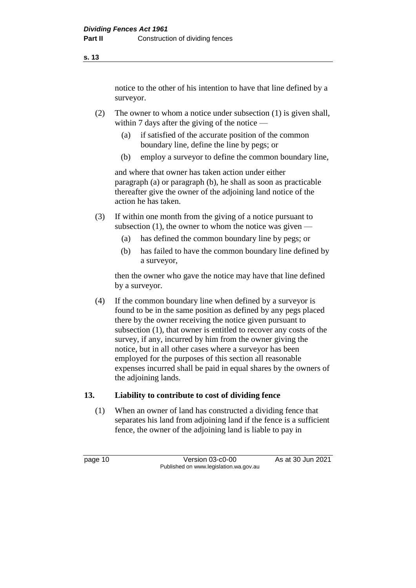notice to the other of his intention to have that line defined by a surveyor.

- (2) The owner to whom a notice under subsection (1) is given shall, within 7 days after the giving of the notice —
	- (a) if satisfied of the accurate position of the common boundary line, define the line by pegs; or
	- (b) employ a surveyor to define the common boundary line,

and where that owner has taken action under either paragraph (a) or paragraph (b), he shall as soon as practicable thereafter give the owner of the adjoining land notice of the action he has taken.

- (3) If within one month from the giving of a notice pursuant to subsection  $(1)$ , the owner to whom the notice was given —
	- (a) has defined the common boundary line by pegs; or
	- (b) has failed to have the common boundary line defined by a surveyor,

then the owner who gave the notice may have that line defined by a surveyor.

(4) If the common boundary line when defined by a surveyor is found to be in the same position as defined by any pegs placed there by the owner receiving the notice given pursuant to subsection (1), that owner is entitled to recover any costs of the survey, if any, incurred by him from the owner giving the notice, but in all other cases where a surveyor has been employed for the purposes of this section all reasonable expenses incurred shall be paid in equal shares by the owners of the adjoining lands.

### **13. Liability to contribute to cost of dividing fence**

(1) When an owner of land has constructed a dividing fence that separates his land from adjoining land if the fence is a sufficient fence, the owner of the adjoining land is liable to pay in

page 10 **Version 03-c0-00** As at 30 Jun 2021 Published on www.legislation.wa.gov.au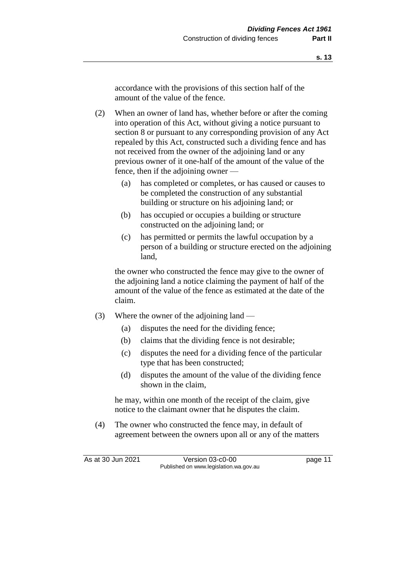accordance with the provisions of this section half of the amount of the value of the fence.

(2) When an owner of land has, whether before or after the coming into operation of this Act, without giving a notice pursuant to section 8 or pursuant to any corresponding provision of any Act repealed by this Act, constructed such a dividing fence and has not received from the owner of the adjoining land or any previous owner of it one-half of the amount of the value of the fence, then if the adjoining owner —

- (a) has completed or completes, or has caused or causes to be completed the construction of any substantial building or structure on his adjoining land; or
- (b) has occupied or occupies a building or structure constructed on the adjoining land; or
- (c) has permitted or permits the lawful occupation by a person of a building or structure erected on the adjoining land,

the owner who constructed the fence may give to the owner of the adjoining land a notice claiming the payment of half of the amount of the value of the fence as estimated at the date of the claim.

- (3) Where the owner of the adjoining land
	- (a) disputes the need for the dividing fence;
	- (b) claims that the dividing fence is not desirable;
	- (c) disputes the need for a dividing fence of the particular type that has been constructed;
	- (d) disputes the amount of the value of the dividing fence shown in the claim,

he may, within one month of the receipt of the claim, give notice to the claimant owner that he disputes the claim.

(4) The owner who constructed the fence may, in default of agreement between the owners upon all or any of the matters

As at 30 Jun 2021 Version 03-c0-00 Page 11 Published on www.legislation.wa.gov.au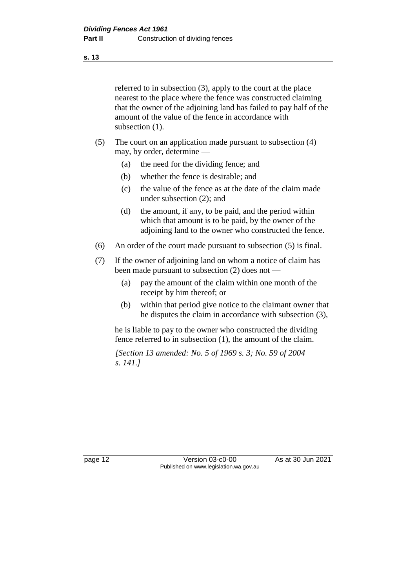**s. 13**

referred to in subsection (3), apply to the court at the place nearest to the place where the fence was constructed claiming that the owner of the adjoining land has failed to pay half of the amount of the value of the fence in accordance with subsection  $(1)$ .

- (5) The court on an application made pursuant to subsection (4) may, by order, determine —
	- (a) the need for the dividing fence; and
	- (b) whether the fence is desirable; and
	- (c) the value of the fence as at the date of the claim made under subsection (2); and
	- (d) the amount, if any, to be paid, and the period within which that amount is to be paid, by the owner of the adjoining land to the owner who constructed the fence.
- (6) An order of the court made pursuant to subsection (5) is final.
- (7) If the owner of adjoining land on whom a notice of claim has been made pursuant to subsection (2) does not —
	- (a) pay the amount of the claim within one month of the receipt by him thereof; or
	- (b) within that period give notice to the claimant owner that he disputes the claim in accordance with subsection (3),

he is liable to pay to the owner who constructed the dividing fence referred to in subsection (1), the amount of the claim.

*[Section 13 amended: No. 5 of 1969 s. 3; No. 59 of 2004 s. 141.]* 

page 12 Version 03-c0-00 As at 30 Jun 2021 Published on www.legislation.wa.gov.au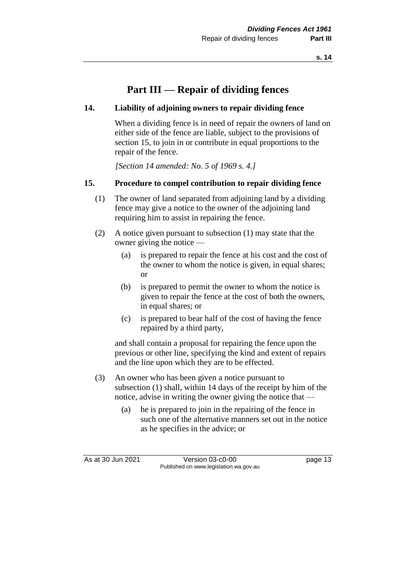# **Part III — Repair of dividing fences**

#### **14. Liability of adjoining owners to repair dividing fence**

When a dividing fence is in need of repair the owners of land on either side of the fence are liable, subject to the provisions of section 15, to join in or contribute in equal proportions to the repair of the fence.

*[Section 14 amended: No. 5 of 1969 s. 4.]* 

#### **15. Procedure to compel contribution to repair dividing fence**

- (1) The owner of land separated from adjoining land by a dividing fence may give a notice to the owner of the adjoining land requiring him to assist in repairing the fence.
- (2) A notice given pursuant to subsection (1) may state that the owner giving the notice —
	- (a) is prepared to repair the fence at his cost and the cost of the owner to whom the notice is given, in equal shares; or
	- (b) is prepared to permit the owner to whom the notice is given to repair the fence at the cost of both the owners, in equal shares; or
	- (c) is prepared to bear half of the cost of having the fence repaired by a third party,

and shall contain a proposal for repairing the fence upon the previous or other line, specifying the kind and extent of repairs and the line upon which they are to be effected.

- (3) An owner who has been given a notice pursuant to subsection (1) shall, within 14 days of the receipt by him of the notice, advise in writing the owner giving the notice that —
	- (a) he is prepared to join in the repairing of the fence in such one of the alternative manners set out in the notice as he specifies in the advice; or

As at 30 Jun 2021 Version 03-c0-00 Page 13 Published on www.legislation.wa.gov.au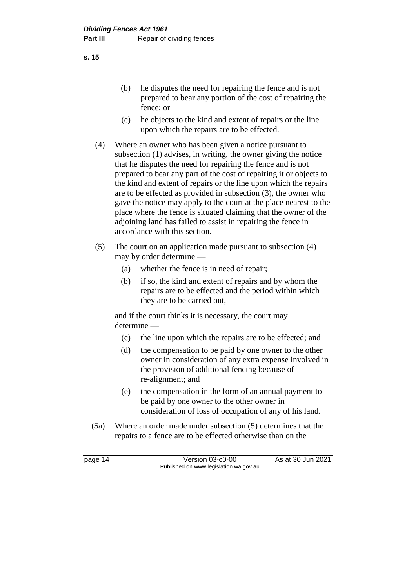- (b) he disputes the need for repairing the fence and is not prepared to bear any portion of the cost of repairing the fence; or
- (c) he objects to the kind and extent of repairs or the line upon which the repairs are to be effected.
- (4) Where an owner who has been given a notice pursuant to subsection (1) advises, in writing, the owner giving the notice that he disputes the need for repairing the fence and is not prepared to bear any part of the cost of repairing it or objects to the kind and extent of repairs or the line upon which the repairs are to be effected as provided in subsection (3), the owner who gave the notice may apply to the court at the place nearest to the place where the fence is situated claiming that the owner of the adjoining land has failed to assist in repairing the fence in accordance with this section.
- (5) The court on an application made pursuant to subsection (4) may by order determine —
	- (a) whether the fence is in need of repair;
	- (b) if so, the kind and extent of repairs and by whom the repairs are to be effected and the period within which they are to be carried out,

and if the court thinks it is necessary, the court may determine —

- (c) the line upon which the repairs are to be effected; and
- (d) the compensation to be paid by one owner to the other owner in consideration of any extra expense involved in the provision of additional fencing because of re-alignment; and
- (e) the compensation in the form of an annual payment to be paid by one owner to the other owner in consideration of loss of occupation of any of his land.
- (5a) Where an order made under subsection (5) determines that the repairs to a fence are to be effected otherwise than on the

page 14 Version 03-c0-00 As at 30 Jun 2021 Published on www.legislation.wa.gov.au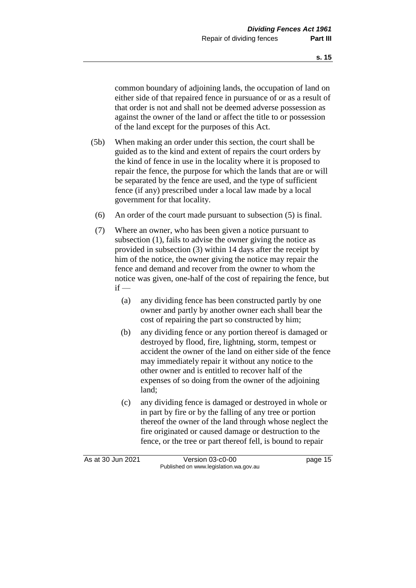common boundary of adjoining lands, the occupation of land on either side of that repaired fence in pursuance of or as a result of that order is not and shall not be deemed adverse possession as against the owner of the land or affect the title to or possession of the land except for the purposes of this Act.

- (5b) When making an order under this section, the court shall be guided as to the kind and extent of repairs the court orders by the kind of fence in use in the locality where it is proposed to repair the fence, the purpose for which the lands that are or will be separated by the fence are used, and the type of sufficient fence (if any) prescribed under a local law made by a local government for that locality.
- (6) An order of the court made pursuant to subsection (5) is final.
- (7) Where an owner, who has been given a notice pursuant to subsection (1), fails to advise the owner giving the notice as provided in subsection (3) within 14 days after the receipt by him of the notice, the owner giving the notice may repair the fence and demand and recover from the owner to whom the notice was given, one-half of the cost of repairing the fence, but  $if -$ 
	- (a) any dividing fence has been constructed partly by one owner and partly by another owner each shall bear the cost of repairing the part so constructed by him;
	- (b) any dividing fence or any portion thereof is damaged or destroyed by flood, fire, lightning, storm, tempest or accident the owner of the land on either side of the fence may immediately repair it without any notice to the other owner and is entitled to recover half of the expenses of so doing from the owner of the adjoining land;
	- (c) any dividing fence is damaged or destroyed in whole or in part by fire or by the falling of any tree or portion thereof the owner of the land through whose neglect the fire originated or caused damage or destruction to the fence, or the tree or part thereof fell, is bound to repair

As at 30 Jun 2021 Version 03-c0-00 Page 15 Published on www.legislation.wa.gov.au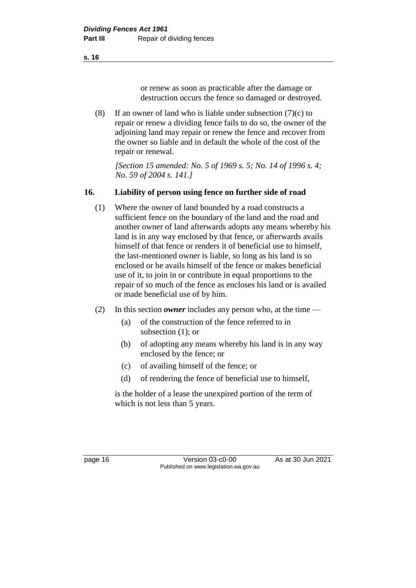or renew as soon as practicable after the damage or

(8) If an owner of land who is liable under subsection  $(7)(c)$  to repair or renew a dividing fence fails to do so, the owner of the adjoining land may repair or renew the fence and recover from the owner so liable and in default the whole of the cost of the repair or renewal.

*[Section 15 amended: No. 5 of 1969 s. 5; No. 14 of 1996 s. 4; No. 59 of 2004 s. 141.]* 

destruction occurs the fence so damaged or destroyed.

### **16. Liability of person using fence on further side of road**

- (1) Where the owner of land bounded by a road constructs a sufficient fence on the boundary of the land and the road and another owner of land afterwards adopts any means whereby his land is in any way enclosed by that fence, or afterwards avails himself of that fence or renders it of beneficial use to himself, the last-mentioned owner is liable, so long as his land is so enclosed or he avails himself of the fence or makes beneficial use of it, to join in or contribute in equal proportions to the repair of so much of the fence as encloses his land or is availed or made beneficial use of by him.
- (2) In this section *owner* includes any person who, at the time
	- (a) of the construction of the fence referred to in subsection (1); or
	- (b) of adopting any means whereby his land is in any way enclosed by the fence; or
	- (c) of availing himself of the fence; or
	- (d) of rendering the fence of beneficial use to himself,

is the holder of a lease the unexpired portion of the term of which is not less than 5 years.

**s. 16**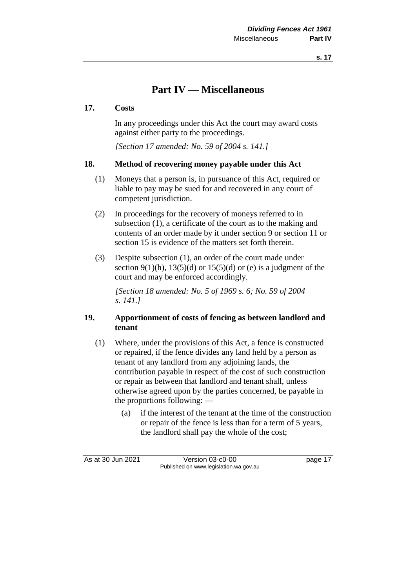# **Part IV — Miscellaneous**

#### **17. Costs**

In any proceedings under this Act the court may award costs against either party to the proceedings.

*[Section 17 amended: No. 59 of 2004 s. 141.]* 

#### **18. Method of recovering money payable under this Act**

- (1) Moneys that a person is, in pursuance of this Act, required or liable to pay may be sued for and recovered in any court of competent jurisdiction.
- (2) In proceedings for the recovery of moneys referred to in subsection (1), a certificate of the court as to the making and contents of an order made by it under section 9 or section 11 or section 15 is evidence of the matters set forth therein.
- (3) Despite subsection (1), an order of the court made under section 9(1)(h),  $13(5)(d)$  or  $15(5)(d)$  or (e) is a judgment of the court and may be enforced accordingly.

*[Section 18 amended: No. 5 of 1969 s. 6; No. 59 of 2004 s. 141.]* 

#### **19. Apportionment of costs of fencing as between landlord and tenant**

- (1) Where, under the provisions of this Act, a fence is constructed or repaired, if the fence divides any land held by a person as tenant of any landlord from any adjoining lands, the contribution payable in respect of the cost of such construction or repair as between that landlord and tenant shall, unless otherwise agreed upon by the parties concerned, be payable in the proportions following: —
	- (a) if the interest of the tenant at the time of the construction or repair of the fence is less than for a term of 5 years, the landlord shall pay the whole of the cost;

As at 30 Jun 2021 Version 03-c0-00 page 17 Published on www.legislation.wa.gov.au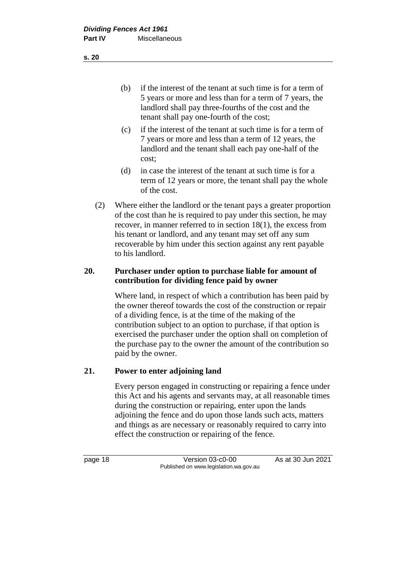- (b) if the interest of the tenant at such time is for a term of 5 years or more and less than for a term of 7 years, the landlord shall pay three-fourths of the cost and the tenant shall pay one-fourth of the cost;
- (c) if the interest of the tenant at such time is for a term of 7 years or more and less than a term of 12 years, the landlord and the tenant shall each pay one-half of the cost;
- (d) in case the interest of the tenant at such time is for a term of 12 years or more, the tenant shall pay the whole of the cost.
- (2) Where either the landlord or the tenant pays a greater proportion of the cost than he is required to pay under this section, he may recover, in manner referred to in section 18(1), the excess from his tenant or landlord, and any tenant may set off any sum recoverable by him under this section against any rent payable to his landlord.

#### **20. Purchaser under option to purchase liable for amount of contribution for dividing fence paid by owner**

Where land, in respect of which a contribution has been paid by the owner thereof towards the cost of the construction or repair of a dividing fence, is at the time of the making of the contribution subject to an option to purchase, if that option is exercised the purchaser under the option shall on completion of the purchase pay to the owner the amount of the contribution so paid by the owner.

### **21. Power to enter adjoining land**

Every person engaged in constructing or repairing a fence under this Act and his agents and servants may, at all reasonable times during the construction or repairing, enter upon the lands adjoining the fence and do upon those lands such acts, matters and things as are necessary or reasonably required to carry into effect the construction or repairing of the fence.

page 18 Version 03-c0-00 As at 30 Jun 2021 Published on www.legislation.wa.gov.au

**s. 20**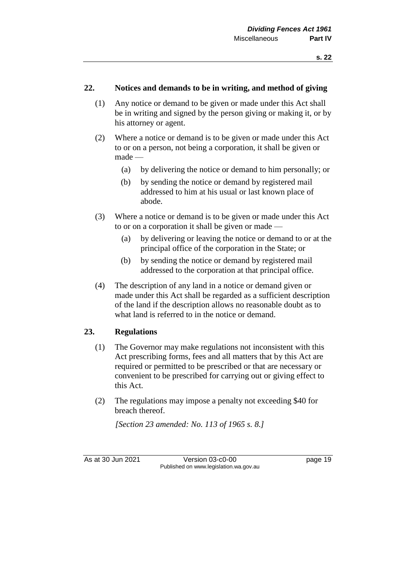#### **22. Notices and demands to be in writing, and method of giving**

- (1) Any notice or demand to be given or made under this Act shall be in writing and signed by the person giving or making it, or by his attorney or agent.
- (2) Where a notice or demand is to be given or made under this Act to or on a person, not being a corporation, it shall be given or made —
	- (a) by delivering the notice or demand to him personally; or
	- (b) by sending the notice or demand by registered mail addressed to him at his usual or last known place of abode.
- (3) Where a notice or demand is to be given or made under this Act to or on a corporation it shall be given or made —
	- (a) by delivering or leaving the notice or demand to or at the principal office of the corporation in the State; or
	- (b) by sending the notice or demand by registered mail addressed to the corporation at that principal office.
- (4) The description of any land in a notice or demand given or made under this Act shall be regarded as a sufficient description of the land if the description allows no reasonable doubt as to what land is referred to in the notice or demand.

#### **23. Regulations**

- (1) The Governor may make regulations not inconsistent with this Act prescribing forms, fees and all matters that by this Act are required or permitted to be prescribed or that are necessary or convenient to be prescribed for carrying out or giving effect to this Act.
- (2) The regulations may impose a penalty not exceeding \$40 for breach thereof.

*[Section 23 amended: No. 113 of 1965 s. 8.]* 

As at 30 Jun 2021 Version 03-c0-00 Page 19 Published on www.legislation.wa.gov.au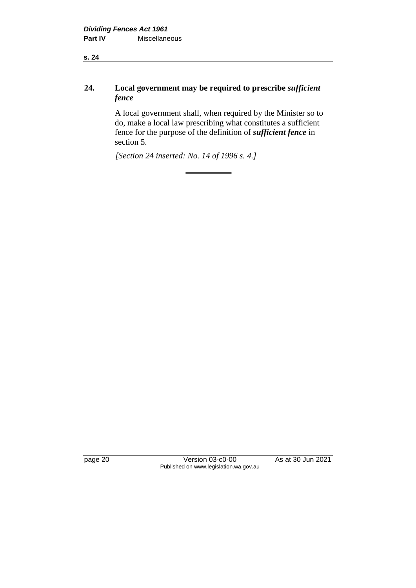**s. 24**

### **24. Local government may be required to prescribe** *sufficient fence*

A local government shall, when required by the Minister so to do, make a local law prescribing what constitutes a sufficient fence for the purpose of the definition of *sufficient fence* in section 5.

*[Section 24 inserted: No. 14 of 1996 s. 4.]* 

page 20 **Version 03-c0-00** As at 30 Jun 2021 Published on www.legislation.wa.gov.au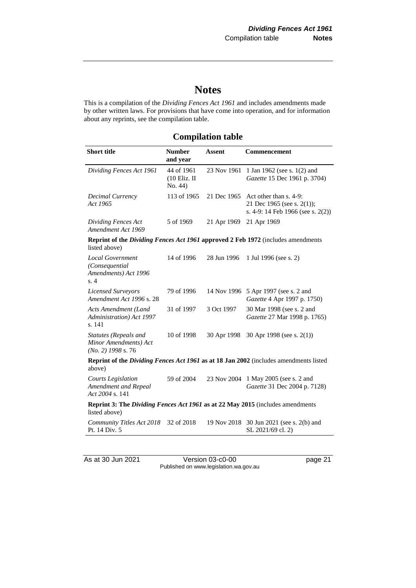# **Notes**

This is a compilation of the *Dividing Fences Act 1961* and includes amendments made by other written laws. For provisions that have come into operation, and for information about any reprints, see the compilation table.

## **Compilation table**

| <b>Short title</b>                                                                                | <b>Number</b><br>and year               | <b>Assent</b> | Commencement                                                                              |  |  |
|---------------------------------------------------------------------------------------------------|-----------------------------------------|---------------|-------------------------------------------------------------------------------------------|--|--|
| Dividing Fences Act 1961                                                                          | 44 of 1961<br>$(10$ Eliz. II<br>No. 44) | 23 Nov 1961   | 1 Jan 1962 (see s. 1(2) and<br>Gazette 15 Dec 1961 p. 3704)                               |  |  |
| Decimal Currency<br>Act 1965                                                                      | 113 of 1965                             | 21 Dec 1965   | Act other than s. 4-9:<br>21 Dec 1965 (see s. 2(1));<br>s. 4-9: 14 Feb 1966 (see s. 2(2)) |  |  |
| Dividing Fences Act<br>Amendment Act 1969                                                         | 5 of 1969                               | 21 Apr 1969   | 21 Apr 1969                                                                               |  |  |
| Reprint of the Dividing Fences Act 1961 approved 2 Feb 1972 (includes amendments<br>listed above) |                                         |               |                                                                                           |  |  |
| <b>Local Government</b><br>(Consequential<br>Amendments) Act 1996<br>s.4                          | 14 of 1996                              | 28 Jun 1996   | 1 Jul 1996 (see s. 2)                                                                     |  |  |
| <b>Licensed Surveyors</b><br>Amendment Act 1996 s. 28                                             | 79 of 1996                              |               | 14 Nov 1996 5 Apr 1997 (see s. 2 and<br>Gazette 4 Apr 1997 p. 1750)                       |  |  |
| Acts Amendment (Land<br>Administration) Act 1997<br>s. 141                                        | 31 of 1997                              | 3 Oct 1997    | 30 Mar 1998 (see s. 2 and<br>Gazette 27 Mar 1998 p. 1765)                                 |  |  |
| Statutes (Repeals and<br>Minor Amendments) Act<br>$(No. 2)$ 1998 s. 76                            | 10 of 1998                              | 30 Apr 1998   | 30 Apr 1998 (see s. $2(1)$ )                                                              |  |  |
| Reprint of the Dividing Fences Act 1961 as at 18 Jan 2002 (includes amendments listed<br>above)   |                                         |               |                                                                                           |  |  |
| <b>Courts Legislation</b><br>Amendment and Repeal<br>Act 2004 s. 141                              | 59 of 2004                              |               | 23 Nov 2004 1 May 2005 (see s. 2 and<br>Gazette 31 Dec 2004 p. 7128)                      |  |  |
| Reprint 3: The Dividing Fences Act 1961 as at 22 May 2015 (includes amendments<br>listed above)   |                                         |               |                                                                                           |  |  |
| Community Titles Act 2018<br>Pt. 14 Div. 5                                                        | 32 of 2018                              |               | 19 Nov 2018 30 Jun 2021 (see s. 2(b) and<br>SL 2021/69 cl. 2)                             |  |  |

As at 30 Jun 2021 Version 03-c0-00 page 21 Published on www.legislation.wa.gov.au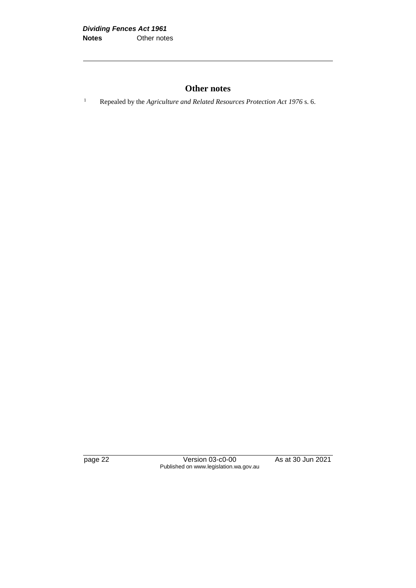### **Other notes**

<sup>1</sup> Repealed by the *Agriculture and Related Resources Protection Act 1976* s. 6.

page 22 Version 03-c0-00 As at 30 Jun 2021 Published on www.legislation.wa.gov.au